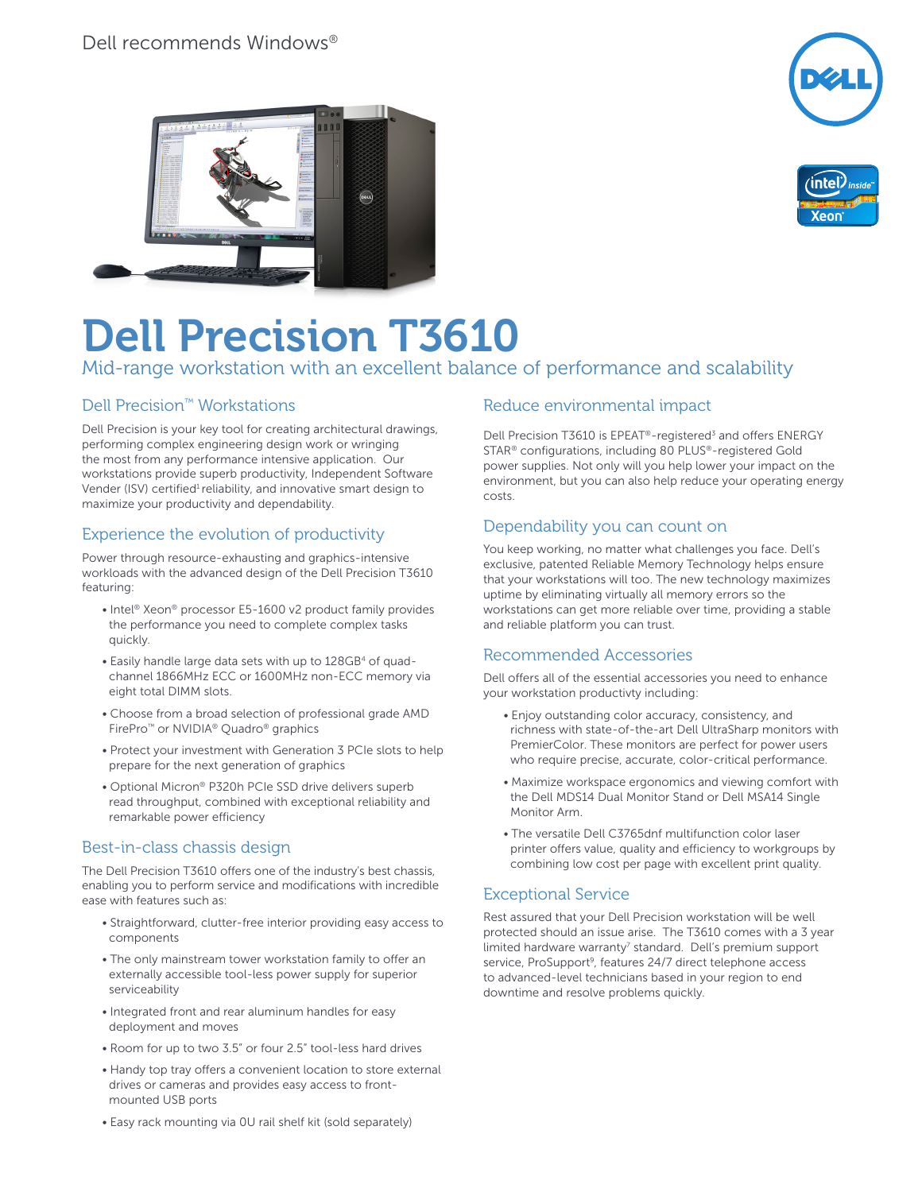





# Dell Precision T3610 Mid-range workstation with an excellent balance of performance and scalability

#### Dell Precision™ Workstations

Dell Precision is your key tool for creating architectural drawings, performing complex engineering design work or wringing the most from any performance intensive application. Our workstations provide superb productivity, Independent Software Vender (ISV) certified<sup>1</sup> reliability, and innovative smart design to maximize your productivity and dependability.

## Experience the evolution of productivity

Power through resource-exhausting and graphics-intensive workloads with the advanced design of the Dell Precision T3610 featuring:

- Intel® Xeon® processor E5-1600 v2 product family provides the performance you need to complete complex tasks quickly.
- Easily handle large data sets with up to 128GB<sup>4</sup> of quadchannel 1866MHz ECC or 1600MHz non-ECC memory via eight total DIMM slots.
- Choose from a broad selection of professional grade AMD FirePro™ or NVIDIA® Quadro® graphics
- Protect your investment with Generation 3 PCIe slots to help prepare for the next generation of graphics
- Optional Micron® P320h PCIe SSD drive delivers superb read throughput, combined with exceptional reliability and remarkable power efficiency

#### Best-in-class chassis design

The Dell Precision T3610 offers one of the industry's best chassis, enabling you to perform service and modifications with incredible ease with features such as:

- Straightforward, clutter-free interior providing easy access to components
- The only mainstream tower workstation family to offer an externally accessible tool-less power supply for superior serviceability
- Integrated front and rear aluminum handles for easy deployment and moves
- Room for up to two 3.5" or four 2.5" tool-less hard drives
- Handy top tray offers a convenient location to store external drives or cameras and provides easy access to frontmounted USB ports
- Easy rack mounting via 0U rail shelf kit (sold separately)

## Reduce environmental impact

Dell Precision T3610 is EPEAT<sup>®</sup>-registered<sup>3</sup> and offers ENERGY STAR® configurations, including 80 PLUS®-registered Gold power supplies. Not only will you help lower your impact on the environment, but you can also help reduce your operating energy costs.

#### Dependability you can count on

You keep working, no matter what challenges you face. Dell's exclusive, patented Reliable Memory Technology helps ensure that your workstations will too. The new technology maximizes uptime by eliminating virtually all memory errors so the workstations can get more reliable over time, providing a stable and reliable platform you can trust.

#### Recommended Accessories

Dell offers all of the essential accessories you need to enhance your workstation productivty including:

- Enjoy outstanding color accuracy, consistency, and richness with state-of-the-art Dell UltraSharp monitors with PremierColor. These monitors are perfect for power users who require precise, accurate, color-critical performance.
- Maximize workspace ergonomics and viewing comfort with the Dell MDS14 Dual Monitor Stand or Dell MSA14 Single Monitor Arm.
- The versatile Dell C3765dnf multifunction color laser printer offers value, quality and efficiency to workgroups by combining low cost per page with excellent print quality.

#### Exceptional Service

Rest assured that your Dell Precision workstation will be well protected should an issue arise. The T3610 comes with a 3 year limited hardware warranty<sup>7</sup> standard. Dell's premium support service, ProSupport<sup>9</sup>, features 24/7 direct telephone access to advanced-level technicians based in your region to end downtime and resolve problems quickly.